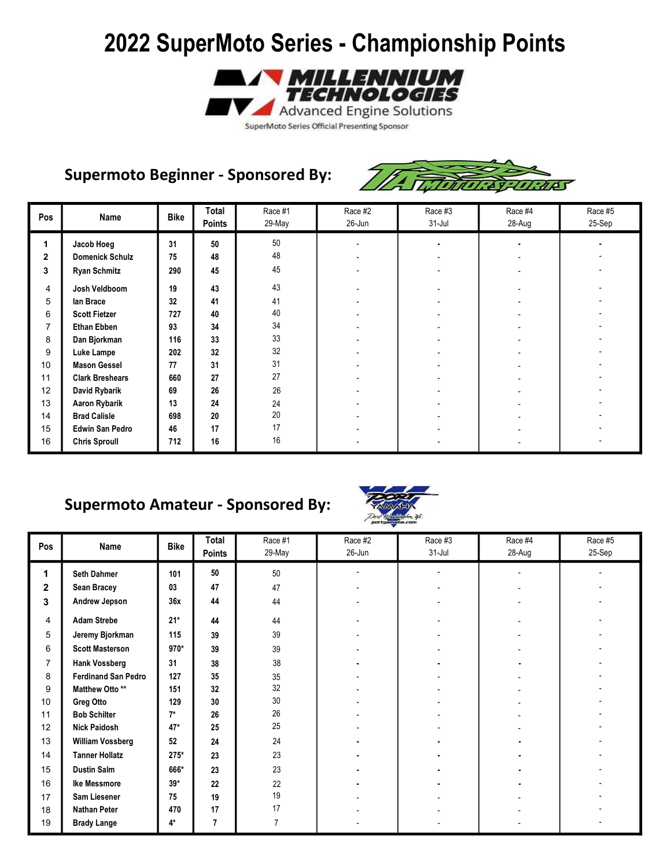

#### Supermoto Beginner - Sponsored By:



| Pos            | Name                   | <b>Bike</b> | Total<br><b>Points</b> | Race #1<br>29-May | Race #2<br>26-Jun | Race #3<br>$31 -$ Jul | Race #4<br>28-Aug | Race #5<br>25-Sep |
|----------------|------------------------|-------------|------------------------|-------------------|-------------------|-----------------------|-------------------|-------------------|
| 1              | Jacob Hoeg             | 31          | 50                     | 50                |                   |                       |                   |                   |
| $\overline{2}$ | <b>Domenick Schulz</b> | 75          | 48                     | 48                |                   |                       |                   |                   |
| 3              | <b>Ryan Schmitz</b>    | 290         | 45                     | 45                |                   |                       |                   |                   |
| 4              | Josh Veldboom          | 19          | 43                     | 43                |                   |                       |                   |                   |
| 5              | lan Brace              | 32          | 41                     | 41                |                   |                       |                   |                   |
| 6              | <b>Scott Fietzer</b>   | 727         | 40                     | 40                |                   |                       |                   |                   |
| 7              | <b>Ethan Ebben</b>     | 93          | 34                     | 34                |                   |                       |                   |                   |
| 8              | Dan Bjorkman           | 116         | 33                     | 33                |                   |                       |                   |                   |
| 9              | Luke Lampe             | 202         | 32                     | 32                |                   |                       |                   |                   |
| 10             | <b>Mason Gessel</b>    | 77          | 31                     | 31                |                   |                       |                   |                   |
| 11             | <b>Clark Breshears</b> | 660         | 27                     | 27                |                   |                       |                   |                   |
| 12             | David Rybarik          | 69          | 26                     | $26\,$            |                   |                       |                   |                   |
| 13             | <b>Aaron Rybarik</b>   | 13          | 24                     | 24                |                   |                       |                   |                   |
| 14             | <b>Brad Calisle</b>    | 698         | 20                     | 20                |                   |                       |                   |                   |
| 15             | <b>Edwin San Pedro</b> | 46          | 17                     | 17                |                   |                       |                   |                   |
| 16             | <b>Chris Sproull</b>   | 712         | 16                     | 16                |                   |                       |                   |                   |

### Supermoto Amateur - Sponsored By:



| Pos            | Name                       | <b>Bike</b> | Total         | Race #1 | Race #2 | Race #3    | Race #4 | Race #5 |
|----------------|----------------------------|-------------|---------------|---------|---------|------------|---------|---------|
|                |                            |             | <b>Points</b> | 29-May  | 26-Jun  | $31 - Jul$ | 28-Aug  | 25-Sep  |
| 1              | <b>Seth Dahmer</b>         | 101         | 50            | 50      |         |            |         |         |
| $\mathbf{2}$   | <b>Sean Bracey</b>         | 03          | 47            | 47      |         |            |         |         |
| 3              | Andrew Jepson              | 36x         | 44            | 44      |         |            |         |         |
| 4              | <b>Adam Strebe</b>         | $21*$       | 44            | 44      |         |            |         |         |
| 5              | Jeremy Bjorkman            | 115         | 39            | 39      |         |            |         |         |
| 6              | <b>Scott Masterson</b>     | 970*        | 39            | 39      |         |            |         |         |
| $\overline{7}$ | <b>Hank Vossberg</b>       | 31          | 38            | 38      |         |            |         |         |
| 8              | <b>Ferdinand San Pedro</b> | 127         | 35            | 35      |         |            |         |         |
| 9              | Matthew Otto **            | 151         | 32            | 32      |         |            |         |         |
| 10             | Greg Otto                  | 129         | 30            | $30\,$  |         |            |         |         |
| 11             | <b>Bob Schilter</b>        | $7^*$       | 26            | 26      |         |            |         |         |
| 12             | <b>Nick Paidosh</b>        | $47*$       | 25            | 25      |         |            |         |         |
| 13             | <b>William Vossberg</b>    | 52          | 24            | 24      |         |            |         |         |
| 14             | <b>Tanner Hollatz</b>      | $275*$      | 23            | 23      |         |            |         |         |
| 15             | <b>Dustin Salm</b>         | 666*        | 23            | 23      |         |            |         |         |
| 16             | Ike Messmore               | $39*$       | 22            | 22      |         |            |         |         |
| 17             | Sam Liesener               | 75          | 19            | 19      |         |            |         |         |
| 18             | <b>Nathan Peter</b>        | 470         | 17            | 17      |         |            |         |         |
| 19             | <b>Brady Lange</b>         | 4*          | 7             |         |         |            |         |         |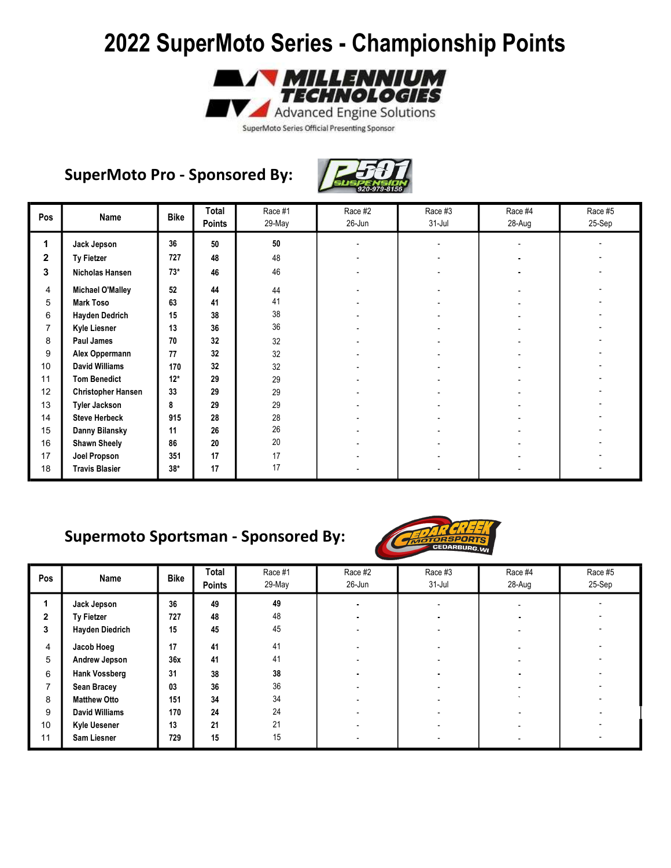

SuperMoto Series Official Presenting Sponsor

### SuperMoto Pro - Sponsored By:



| Pos          | Name                      | <b>Bike</b> | Total<br><b>Points</b> | Race #1<br>29-May | Race #2<br>26-Jun | Race #3<br>$31 -$ Jul | Race #4<br>28-Aug | Race #5<br>25-Sep |
|--------------|---------------------------|-------------|------------------------|-------------------|-------------------|-----------------------|-------------------|-------------------|
| 1            | Jack Jepson               | 36          | 50                     | $50\,$            |                   |                       |                   |                   |
| $\mathbf{2}$ | Ty Fietzer                | 727         | 48                     | 48                |                   |                       |                   |                   |
| 3            | Nicholas Hansen           | $73*$       | 46                     | 46                |                   |                       |                   |                   |
| 4            | <b>Michael O'Malley</b>   | 52          | 44                     | 44                |                   |                       |                   |                   |
| 5            | <b>Mark Toso</b>          | 63          | 41                     | 41                |                   |                       |                   |                   |
| 6            | <b>Hayden Dedrich</b>     | 15          | 38                     | 38                |                   |                       |                   |                   |
| 7            | <b>Kyle Liesner</b>       | 13          | 36                     | 36                |                   |                       |                   |                   |
| 8            | Paul James                | 70          | 32                     | 32                |                   |                       |                   |                   |
| 9            | Alex Oppermann            | 77          | 32                     | 32                |                   |                       |                   |                   |
| 10           | <b>David Williams</b>     | 170         | 32                     | 32                |                   |                       |                   |                   |
| 11           | <b>Tom Benedict</b>       | $12*$       | 29                     | 29                |                   |                       |                   |                   |
| 12           | <b>Christopher Hansen</b> | 33          | 29                     | 29                |                   |                       |                   |                   |
| 13           | <b>Tyler Jackson</b>      | 8           | 29                     | 29                |                   |                       |                   |                   |
| 14           | <b>Steve Herbeck</b>      | 915         | 28                     | 28                |                   |                       |                   |                   |
| 15           | Danny Bilansky            | 11          | 26                     | 26                |                   |                       |                   |                   |
| 16           | <b>Shawn Sheely</b>       | 86          | 20                     | 20                |                   |                       |                   |                   |
| 17           | Joel Propson              | 351         | 17                     | 17                |                   |                       |                   |                   |
| 18           | <b>Travis Blasier</b>     | $38*$       | 17                     | 17                |                   |                       |                   |                   |

### Supermoto Sportsman - Sponsored By:



| Pos          | Name                   | <b>Bike</b> | Total<br><b>Points</b> | Race #1<br>29-May | Race #2<br>26-Jun | Race #3<br>$31 -$ Jul | Race #4<br>28-Aug | Race #5<br>25-Sep |
|--------------|------------------------|-------------|------------------------|-------------------|-------------------|-----------------------|-------------------|-------------------|
|              | Jack Jepson            | 36          | 49                     | 49                |                   |                       |                   |                   |
| $\mathbf{2}$ | Ty Fietzer             | 727         | 48                     | 48                |                   |                       |                   |                   |
| 3            | <b>Hayden Diedrich</b> | 15          | 45                     | 45                |                   |                       |                   |                   |
| 4            | Jacob Hoeg             | 17          | 41                     | 41                |                   |                       |                   |                   |
| 5            | Andrew Jepson          | 36x         | 41                     | 41                |                   |                       |                   |                   |
| 6            | <b>Hank Vossberg</b>   | 31          | 38                     | 38                |                   |                       |                   |                   |
| ⇁            | <b>Sean Bracey</b>     | 03          | 36                     | 36                |                   |                       |                   |                   |
| 8            | <b>Matthew Otto</b>    | 151         | 34                     | 34                |                   |                       |                   |                   |
| 9            | <b>David Williams</b>  | 170         | 24                     | 24                |                   |                       |                   |                   |
| 10           | <b>Kyle Uesener</b>    | 13          | 21                     | 21                |                   |                       |                   |                   |
| 11           | Sam Liesner            | 729         | 15                     | 15                |                   |                       |                   |                   |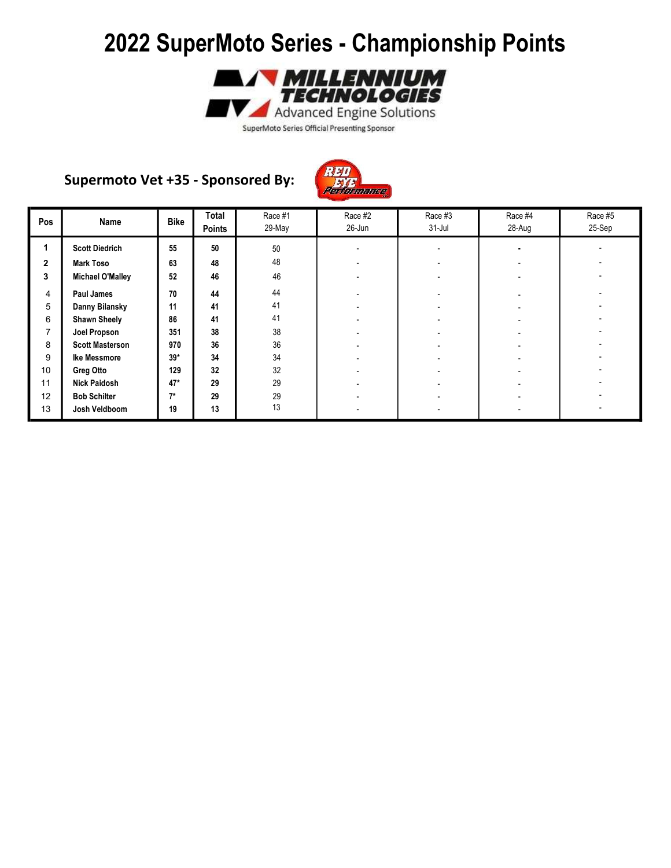

SuperMoto Series Official Presenting Sponsor

#### Supermoto Vet +35 - Sponsored By:



| Pos            | Name                    | <b>Bike</b> | Total<br><b>Points</b> | Race #1<br>29-May | Race #2<br>26-Jun | Race #3<br>$31$ -Jul | Race #4<br>28-Aug | Race #5<br>25-Sep |
|----------------|-------------------------|-------------|------------------------|-------------------|-------------------|----------------------|-------------------|-------------------|
| 1              | <b>Scott Diedrich</b>   | 55          | 50                     | 50                |                   |                      |                   |                   |
| $\overline{2}$ | <b>Mark Toso</b>        | 63          | 48                     | 48                |                   |                      |                   |                   |
| 3              | <b>Michael O'Malley</b> | 52          | 46                     | 46                |                   |                      |                   |                   |
| 4              | Paul James              | 70          | 44                     | 44                |                   |                      |                   |                   |
| 5              | Danny Bilansky          | 11          | 41                     | 41                |                   |                      |                   |                   |
| 6              | <b>Shawn Sheely</b>     | 86          | 41                     | 41                |                   |                      |                   |                   |
| 7              | Joel Propson            | 351         | 38                     | 38                |                   |                      |                   |                   |
| 8              | <b>Scott Masterson</b>  | 970         | 36                     | 36                |                   |                      |                   |                   |
| 9              | Ike Messmore            | $39*$       | 34                     | 34                |                   |                      |                   |                   |
| 10             | Greg Otto               | 129         | 32                     | 32                |                   |                      |                   |                   |
| 11             | <b>Nick Paidosh</b>     | $47*$       | 29                     | 29                |                   |                      |                   |                   |
| 12             | <b>Bob Schilter</b>     | $7*$        | 29                     | 29                |                   |                      |                   |                   |
| 13             | Josh Veldboom           | 19          | 13                     | 13                |                   |                      |                   |                   |